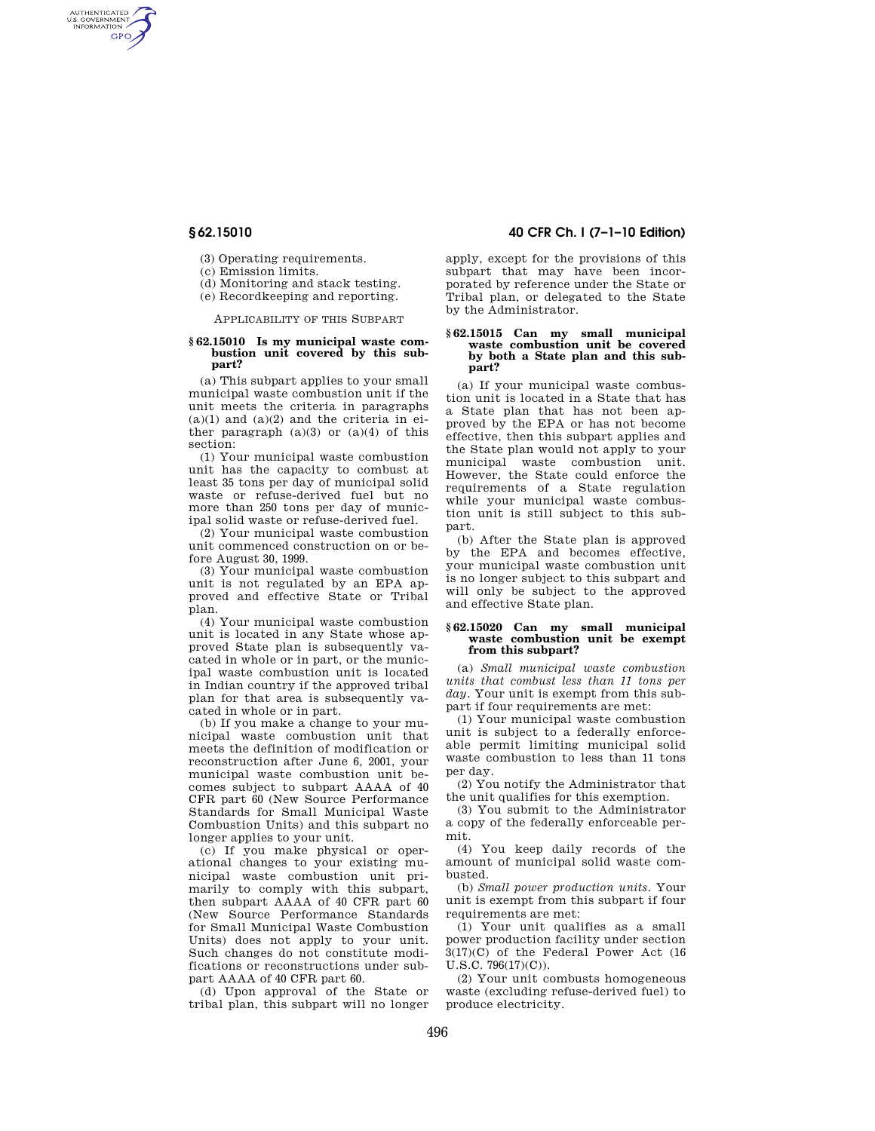AUTHENTICATED<br>U.S. GOVERNMENT<br>INFORMATION **GPO** 

(3) Operating requirements.

(c) Emission limits.

(d) Monitoring and stack testing.

(e) Recordkeeping and reporting.

APPLICABILITY OF THIS SUBPART

#### **§ 62.15010 Is my municipal waste combustion unit covered by this subpart?**

(a) This subpart applies to your small municipal waste combustion unit if the unit meets the criteria in paragraphs  $(a)(1)$  and  $(a)(2)$  and the criteria in either paragraph  $(a)(3)$  or  $(a)(4)$  of this section:

(1) Your municipal waste combustion unit has the capacity to combust at least 35 tons per day of municipal solid waste or refuse-derived fuel but no more than 250 tons per day of municipal solid waste or refuse-derived fuel.

(2) Your municipal waste combustion unit commenced construction on or before August 30, 1999.

(3) Your municipal waste combustion unit is not regulated by an EPA approved and effective State or Tribal plan.

(4) Your municipal waste combustion unit is located in any State whose approved State plan is subsequently vacated in whole or in part, or the municipal waste combustion unit is located in Indian country if the approved tribal plan for that area is subsequently vacated in whole or in part.

(b) If you make a change to your municipal waste combustion unit that meets the definition of modification or reconstruction after June 6, 2001, your municipal waste combustion unit becomes subject to subpart AAAA of 40 CFR part 60 (New Source Performance Standards for Small Municipal Waste Combustion Units) and this subpart no longer applies to your unit.

(c) If you make physical or operational changes to your existing municipal waste combustion unit primarily to comply with this subpart, then subpart AAAA of 40 CFR part 60 (New Source Performance Standards for Small Municipal Waste Combustion Units) does not apply to your unit. Such changes do not constitute modifications or reconstructions under subpart AAAA of 40 CFR part 60.

(d) Upon approval of the State or tribal plan, this subpart will no longer

# **§ 62.15010 40 CFR Ch. I (7–1–10 Edition)**

apply, except for the provisions of this subpart that may have been incorporated by reference under the State or Tribal plan, or delegated to the State by the Administrator.

### **§ 62.15015 Can my small municipal waste combustion unit be covered by both a State plan and this subpart?**

(a) If your municipal waste combustion unit is located in a State that has a State plan that has not been approved by the EPA or has not become effective, then this subpart applies and the State plan would not apply to your municipal waste combustion unit. However, the State could enforce the requirements of a State regulation while your municipal waste combustion unit is still subject to this subpart.

(b) After the State plan is approved by the EPA and becomes effective, your municipal waste combustion unit is no longer subject to this subpart and will only be subject to the approved and effective State plan.

#### **§ 62.15020 Can my small municipal waste combustion unit be exempt from this subpart?**

(a) *Small municipal waste combustion units that combust less than 11 tons per day.* Your unit is exempt from this subpart if four requirements are met:

(1) Your municipal waste combustion unit is subject to a federally enforceable permit limiting municipal solid waste combustion to less than 11 tons per day.

(2) You notify the Administrator that the unit qualifies for this exemption.

(3) You submit to the Administrator a copy of the federally enforceable permit.

(4) You keep daily records of the amount of municipal solid waste combusted.

(b) *Small power production units.* Your unit is exempt from this subpart if four requirements are met:

(1) Your unit qualifies as a small power production facility under section 3(17)(C) of the Federal Power Act (16 U.S.C. 796(17)(C)).

(2) Your unit combusts homogeneous waste (excluding refuse-derived fuel) to produce electricity.